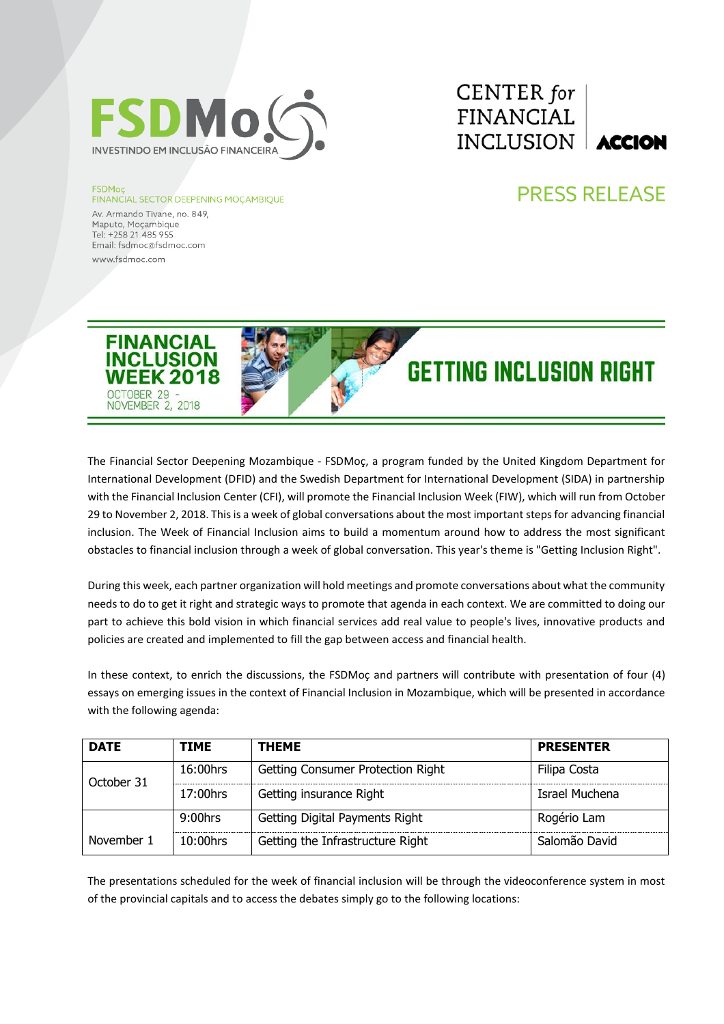

### **FSDMoc**

### **FINANCIAL SECTOR DEEPENING MOÇAMBIQUE**

Av. Armando Tivane, no. 849, Maputo, Mocambique Tel: +258 21 485 955 Email: fsdmoc@fsdmoc.com www.fsdmoc.com

# CENTER for **FINANCIAL** INCLUSION **ACCION**

## **PRESS RELEASE**



The Financial Sector Deepening Mozambique - FSDMoç, a program funded by the United Kingdom Department for International Development (DFID) and the Swedish Department for International Development (SIDA) in partnership with the Financial Inclusion Center (CFI), will promote the Financial Inclusion Week (FIW), which will run from October 29 to November 2, 2018. This is a week of global conversations about the most important steps for advancing financial inclusion. The Week of Financial Inclusion aims to build a momentum around how to address the most significant obstacles to financial inclusion through a week of global conversation. This year's theme is "Getting Inclusion Right".

During this week, each partner organization will hold meetings and promote conversations about what the community needs to do to get it right and strategic ways to promote that agenda in each context. We are committed to doing our part to achieve this bold vision in which financial services add real value to people's lives, innovative products and policies are created and implemented to fill the gap between access and financial health.

In these context, to enrich the discussions, the FSDMoç and partners will contribute with presentation of four (4) essays on emerging issues in the context of Financial Inclusion in Mozambique, which will be presented in accordance with the following agenda:

| <b>DATE</b> | <b>TIME</b> | <b>THEME</b>                      | <b>PRESENTER</b> |
|-------------|-------------|-----------------------------------|------------------|
| October 31  | $16:00$ hrs | Getting Consumer Protection Right | Filipa Costa     |
|             | 17:00hrs    | Getting insurance Right           | Israel Muchena   |
|             | $9:00$ hrs  | Getting Digital Payments Right    | Rogério Lam      |
| November 1  | $10:00$ hrs | Getting the Infrastructure Right  | Salomão David    |

The presentations scheduled for the week of financial inclusion will be through the videoconference system in most of the provincial capitals and to access the debates simply go to the following locations: